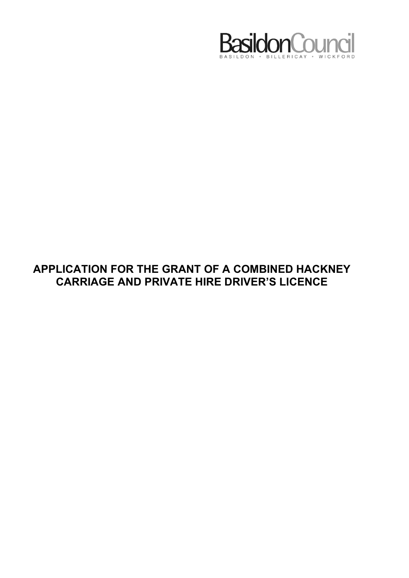

## APPLICATION FOR THE GRANT OF A COMBINED HACKNEY CARRIAGE AND PRIVATE HIRE DRIVER'S LICENCE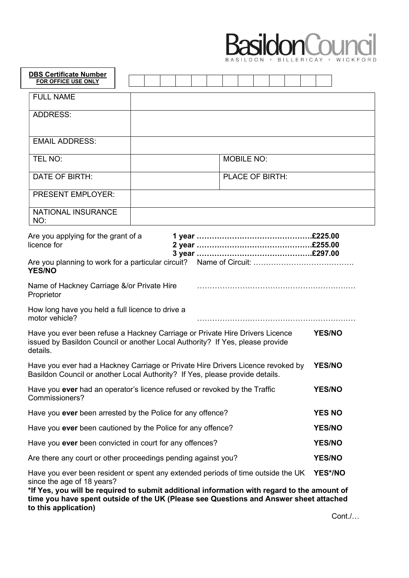

| <b>DBS Certificate Number</b><br>FOR OFFICE USE ONLY                                                                                                                                                                                                                                                                           |  |  |                   |  |  |               |  |
|--------------------------------------------------------------------------------------------------------------------------------------------------------------------------------------------------------------------------------------------------------------------------------------------------------------------------------|--|--|-------------------|--|--|---------------|--|
| <b>FULL NAME</b>                                                                                                                                                                                                                                                                                                               |  |  |                   |  |  |               |  |
| <b>ADDRESS:</b>                                                                                                                                                                                                                                                                                                                |  |  |                   |  |  |               |  |
|                                                                                                                                                                                                                                                                                                                                |  |  |                   |  |  |               |  |
| <b>EMAIL ADDRESS:</b>                                                                                                                                                                                                                                                                                                          |  |  |                   |  |  |               |  |
| TEL NO:                                                                                                                                                                                                                                                                                                                        |  |  | <b>MOBILE NO:</b> |  |  |               |  |
| DATE OF BIRTH:                                                                                                                                                                                                                                                                                                                 |  |  | PLACE OF BIRTH:   |  |  |               |  |
| PRESENT EMPLOYER:                                                                                                                                                                                                                                                                                                              |  |  |                   |  |  |               |  |
| <b>NATIONAL INSURANCE</b><br>NO:                                                                                                                                                                                                                                                                                               |  |  |                   |  |  |               |  |
| Are you applying for the grant of a<br>licence for                                                                                                                                                                                                                                                                             |  |  |                   |  |  |               |  |
| <b>YES/NO</b>                                                                                                                                                                                                                                                                                                                  |  |  |                   |  |  |               |  |
| Name of Hackney Carriage &/or Private Hire<br>Proprietor                                                                                                                                                                                                                                                                       |  |  |                   |  |  |               |  |
| How long have you held a full licence to drive a<br>motor vehicle?                                                                                                                                                                                                                                                             |  |  |                   |  |  |               |  |
| Have you ever been refuse a Hackney Carriage or Private Hire Drivers Licence<br>issued by Basildon Council or another Local Authority? If Yes, please provide<br>details.                                                                                                                                                      |  |  |                   |  |  | <b>YES/NO</b> |  |
| Have you ever had a Hackney Carriage or Private Hire Drivers Licence revoked by<br>Basildon Council or another Local Authority? If Yes, please provide details                                                                                                                                                                 |  |  | <b>YES/NO</b>     |  |  |               |  |
| Have you ever had an operator's licence refused or revoked by the Traffic<br>Commissioners?                                                                                                                                                                                                                                    |  |  | <b>YES/NO</b>     |  |  |               |  |
| Have you ever been arrested by the Police for any offence?                                                                                                                                                                                                                                                                     |  |  | <b>YES NO</b>     |  |  |               |  |
| Have you ever been cautioned by the Police for any offence?                                                                                                                                                                                                                                                                    |  |  | <b>YES/NO</b>     |  |  |               |  |
| Have you ever been convicted in court for any offences?                                                                                                                                                                                                                                                                        |  |  | <b>YES/NO</b>     |  |  |               |  |
| Are there any court or other proceedings pending against you?                                                                                                                                                                                                                                                                  |  |  | <b>YES/NO</b>     |  |  |               |  |
| Have you ever been resident or spent any extended periods of time outside the UK<br>since the age of 18 years?<br>*If Yes, you will be required to submit additional information with regard to the amount of<br>time you have spent outside of the UK (Please see Questions and Answer sheet attached<br>to this application) |  |  |                   |  |  | YES*/NO       |  |

Cont./…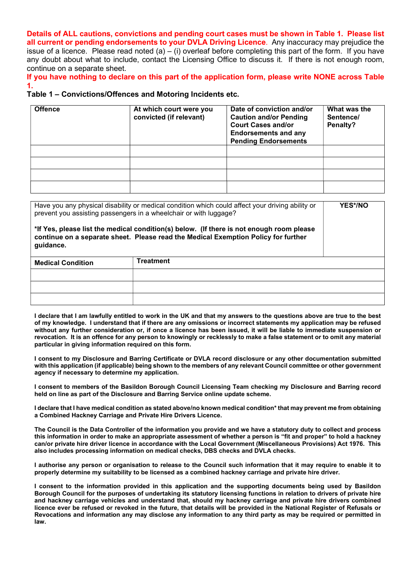Details of ALL cautions, convictions and pending court cases must be shown in Table 1. Please list all current or pending endorsements to your DVLA Driving Licence. Any inaccuracy may prejudice the issue of a licence. Please read noted (a) – (i) overleaf before completing this part of the form. If you have any doubt about what to include, contact the Licensing Office to discuss it. If there is not enough room. continue on a separate sheet.

If you have nothing to declare on this part of the application form, please write NONE across Table 1.

## Table 1 – Convictions/Offences and Motoring Incidents etc.

| <b>Offence</b> | At which court were you<br>convicted (if relevant) | Date of conviction and/or<br><b>Caution and/or Pending</b><br><b>Court Cases and/or</b><br><b>Endorsements and any</b><br><b>Pending Endorsements</b> | What was the<br>Sentence/<br>Penalty? |  |  |
|----------------|----------------------------------------------------|-------------------------------------------------------------------------------------------------------------------------------------------------------|---------------------------------------|--|--|
|                |                                                    |                                                                                                                                                       |                                       |  |  |
|                |                                                    |                                                                                                                                                       |                                       |  |  |
|                |                                                    |                                                                                                                                                       |                                       |  |  |
|                |                                                    |                                                                                                                                                       |                                       |  |  |

|                          | Have you any physical disability or medical condition which could affect your driving ability or<br>prevent you assisting passengers in a wheelchair or with luggage?          | YES*/NO |
|--------------------------|--------------------------------------------------------------------------------------------------------------------------------------------------------------------------------|---------|
| guidance.                | *If Yes, please list the medical condition(s) below. (If there is not enough room please<br>continue on a separate sheet. Please read the Medical Exemption Policy for further |         |
| <b>Medical Condition</b> | <b>Treatment</b>                                                                                                                                                               |         |
|                          |                                                                                                                                                                                |         |
|                          |                                                                                                                                                                                |         |
|                          |                                                                                                                                                                                |         |

I declare that I am lawfully entitled to work in the UK and that my answers to the questions above are true to the best of my knowledge. I understand that if there are any omissions or incorrect statements my application may be refused without any further consideration or, if once a licence has been issued, it will be liable to immediate suspension or revocation. It is an offence for any person to knowingly or recklessly to make a false statement or to omit any material particular in giving information required on this form.

I consent to my Disclosure and Barring Certificate or DVLA record disclosure or any other documentation submitted with this application (if applicable) being shown to the members of any relevant Council committee or other government agency if necessary to determine my application.

I consent to members of the Basildon Borough Council Licensing Team checking my Disclosure and Barring record held on line as part of the Disclosure and Barring Service online update scheme.

I declare that I have medical condition as stated above/no known medical condition\* that may prevent me from obtaining a Combined Hackney Carriage and Private Hire Drivers Licence.

The Council is the Data Controller of the information you provide and we have a statutory duty to collect and process this information in order to make an appropriate assessment of whether a person is "fit and proper" to hold a hackney can/or private hire driver licence in accordance with the Local Government (Miscellaneous Provisions) Act 1976. This also includes processing information on medical checks, DBS checks and DVLA checks.

I authorise any person or organisation to release to the Council such information that it may require to enable it to properly determine my suitability to be licensed as a combined hackney carriage and private hire driver.

I consent to the information provided in this application and the supporting documents being used by Basildon Borough Council for the purposes of undertaking its statutory licensing functions in relation to drivers of private hire and hackney carriage vehicles and understand that, should my hackney carriage and private hire drivers combined licence ever be refused or revoked in the future, that details will be provided in the National Register of Refusals or Revocations and information any may disclose any information to any third party as may be required or permitted in law.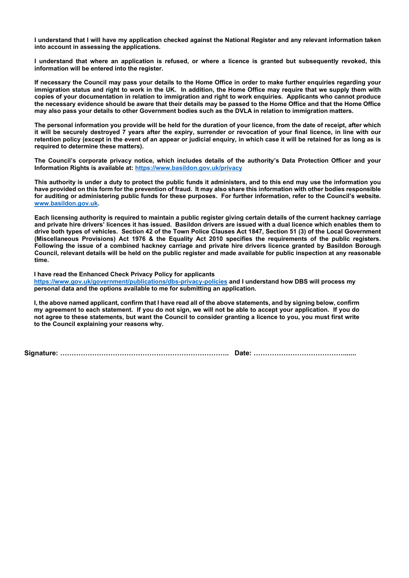I understand that I will have my application checked against the National Register and any relevant information taken into account in assessing the applications.

I understand that where an application is refused, or where a licence is granted but subsequently revoked, this information will be entered into the register.

If necessary the Council may pass your details to the Home Office in order to make further enquiries regarding your immigration status and right to work in the UK. In addition, the Home Office may require that we supply them with copies of your documentation in relation to immigration and right to work enquiries. Applicants who cannot produce the necessary evidence should be aware that their details may be passed to the Home Office and that the Home Office may also pass your details to other Government bodies such as the DVLA in relation to immigration matters.

The personal information you provide will be held for the duration of your licence, from the date of receipt, after which it will be securely destroyed 7 years after the expiry, surrender or revocation of your final licence, in line with our retention policy (except in the event of an appear or judicial enquiry, in which case it will be retained for as long as is required to determine these matters).

The Council's corporate privacy notice, which includes details of the authority's Data Protection Officer and your Information Rights is available at: https://www.basildon.gov.uk/privacy

This authority is under a duty to protect the public funds it administers, and to this end may use the information you have provided on this form for the prevention of fraud. It may also share this information with other bodies responsible for auditing or administering public funds for these purposes. For further information, refer to the Council's website. www.basildon.gov.uk.

Each licensing authority is required to maintain a public register giving certain details of the current hackney carriage and private hire drivers' licences it has issued. Basildon drivers are issued with a dual licence which enables them to drive both types of vehicles. Section 42 of the Town Police Clauses Act 1847, Section 51 (3) of the Local Government (Miscellaneous Provisions) Act 1976 & the Equality Act 2010 specifies the requirements of the public registers. Following the issue of a combined hackney carriage and private hire drivers licence granted by Basildon Borough Council, relevant details will be held on the public register and made available for public inspection at any reasonable time.

I have read the Enhanced Check Privacy Policy for applicants https://www.gov.uk/government/publications/dbs-privacy-policies and I understand how DBS will process my personal data and the options available to me for submitting an application.

I, the above named applicant, confirm that I have read all of the above statements, and by signing below, confirm my agreement to each statement. If you do not sign, we will not be able to accept your application. If you do not agree to these statements, but want the Council to consider granting a licence to you, you must first write to the Council explaining your reasons why.

Signature: ……………………………………………………………….. Date: ………………………………….......